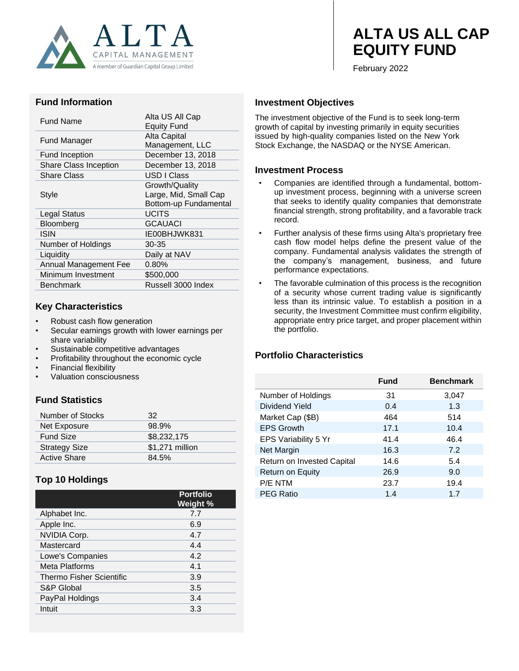

# **ALTA US ALL CAP EQUITY FUND**

February 2022

#### **Fund Information**

| Fund Name             | Alta US All Cap<br><b>Equity Fund</b> |  |
|-----------------------|---------------------------------------|--|
| Fund Manager          | <b>Alta Capital</b>                   |  |
|                       | Management, LLC                       |  |
| <b>Fund Inception</b> | December 13, 2018                     |  |
| Share Class Inception | December 13, 2018                     |  |
| <b>Share Class</b>    | USD I Class                           |  |
|                       | Growth/Quality                        |  |
| Style                 | Large, Mid, Small Cap                 |  |
|                       | Bottom-up Fundamental                 |  |
| Legal Status          | <b>UCITS</b>                          |  |
| Bloomberg             | <b>GCAUACI</b>                        |  |
| ISIN                  | IE00BHJWK831                          |  |
| Number of Holdings    | 30-35                                 |  |
| Liquidity             | Daily at NAV                          |  |
| Annual Management Fee | $0.80\%$                              |  |
| Minimum Investment    | \$500,000                             |  |
| <b>Benchmark</b>      | Russell 3000 Index                    |  |
|                       |                                       |  |

### **Key Characteristics**

- Robust cash flow generation
- Secular earnings growth with lower earnings per share variability
- Sustainable competitive advantages
- Profitability throughout the economic cycle
- Financial flexibility
- Valuation consciousness

# **Fund Statistics**

| Number of Stocks     | 32.             |
|----------------------|-----------------|
| Net Exposure         | 98.9%           |
| <b>Fund Size</b>     | \$8,232,175     |
| <b>Strategy Size</b> | \$1.271 million |
| <b>Active Share</b>  | 84.5%           |

# **Top 10 Holdings**

|                                 | <b>Portfolio</b><br>Weight % |
|---------------------------------|------------------------------|
| Alphabet Inc.                   | 7.7                          |
| Apple Inc.                      | 6.9                          |
| <b>NVIDIA Corp.</b>             | 4.7                          |
| Mastercard                      | 4.4                          |
| Lowe's Companies                | 4.2                          |
| Meta Platforms                  | 4.1                          |
| <b>Thermo Fisher Scientific</b> | 3.9                          |
| S&P Global                      | 3.5                          |
| PayPal Holdings                 | 3.4                          |
| Intuit                          | 3.3                          |

### **Investment Objectives**

The investment objective of the Fund is to seek long-term growth of capital by investing primarily in equity securities issued by high-quality companies listed on the New York Stock Exchange, the NASDAQ or the NYSE American.

#### **Investment Process**

- Companies are identified through a fundamental, bottomup investment process, beginning with a universe screen that seeks to identify quality companies that demonstrate financial strength, strong profitability, and a favorable track record.
- Further analysis of these firms using Alta's proprietary free cash flow model helps define the present value of the company. Fundamental analysis validates the strength of the company's management, business, and future performance expectations.
- The favorable culmination of this process is the recognition of a security whose current trading value is significantly less than its intrinsic value. To establish a position in a security, the Investment Committee must confirm eligibility, appropriate entry price target, and proper placement within the portfolio.

## **Portfolio Characteristics**

|                            | Fund | <b>Benchmark</b> |
|----------------------------|------|------------------|
| Number of Holdings         | 31   | 3,047            |
| Dividend Yield             | 0.4  | 1.3              |
| Market Cap (\$B)           | 464  | 514              |
| <b>EPS Growth</b>          | 17.1 | 10.4             |
| EPS Variability 5 Yr       | 41.4 | 46.4             |
| Net Margin                 | 16.3 | 7.2              |
| Return on Invested Capital | 14.6 | 5.4              |
| Return on Equity           | 26.9 | 9.0              |
| P/E NTM                    | 23.7 | 19.4             |
| <b>PEG Ratio</b>           | 1.4  | 1.7              |